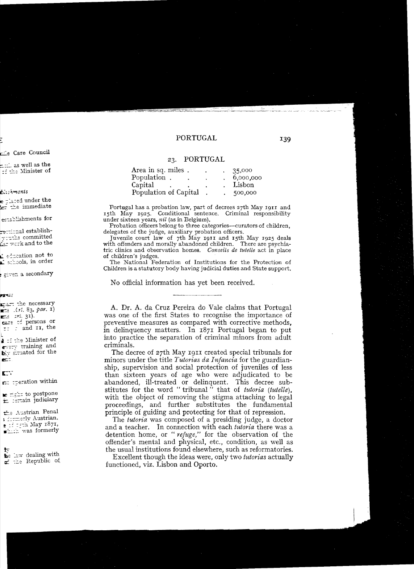## 23. PORTUGAL

| Area in sq. miles.    |  | 35,000    |
|-----------------------|--|-----------|
| Population.           |  | 6,000,000 |
| Capital               |  | Lisbon    |
| Population of Capital |  | 500,000   |

Portugal has a probation law, part of decrees 27th May 1911 and 15th May 1925. Conditional sentence. Criminal responsibility under sixteen years, nil (as in Belgium).

Probation officers belong to three categories-curators of children, delegates of the judge, auxiliary probation officers.

Juvenile court law of 7th May 1911 and 15th May 1925 deals with offenders and morally abandoned children. There are psychiatric clinics and observation homes. Conseils de tutelle act in place of children's judges.

The National Federation of Institutions for the Protection of Children is a statutory body having judicial duties and State support.

No official information has yet been received.

A. Dr. A. da Cruz Pereira do Vale claims that Portugal was one of the first States to recognise the importance of preventive measures as compared with corrective methods. in delinquency matters. In 1871 Portugal began to put into practice the separation of criminal minors from adult criminals.

The decree of 27th May 1911 created special tribunals for minors under the title Tutorias da Infancia for the guardianship, supervision and social protection of juveniles of less than sixteen years of age who were adjudicated to be abandoned, ill-treated or delinquent. This decree substitutes for the word "tribunal" that of *tutoria* (tutelle), with the object of removing the stigma attaching to legal proceedings, and further substitutes the fundamental principle of guiding and protecting for that of repression.

The *tutoria* was composed of a presiding judge, a doctor and a teacher. In connection with each tutoria there was a detention home, or "refuge," for the observation of the offender's mental and physical, etc., condition, as well as the usual institutions found elsewhere, such as reformatories.

Excellent though the ideas were, only two *tutorias* actually functioned, viz. Lisbon and Oporto.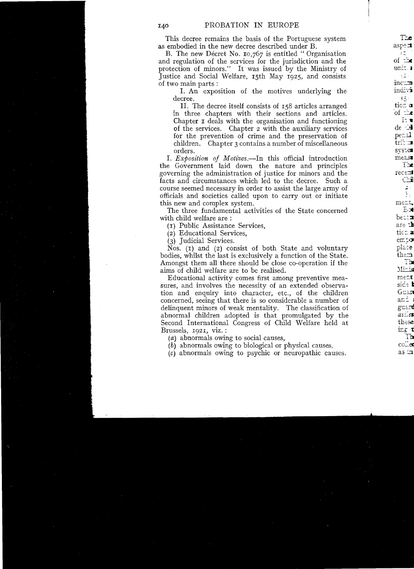This decree remains the basis of the Portuguese system as embodied in the new decree described under B.

B. The new Décret No. 10,767 is entitled "Organisation and regulation of the services for the jurisdiction and the protection of minors." It was issued by the Ministry of Justice and Social Welfare, 15th May 1925, and consists of two main parts:

I. An exposition of the motives underlying the decree.

II. The decree itself consists of 158 articles arranged in three chapters with their sections and articles. Chapter I deals with the organisation and functioning of the services. Chapter 2 with the auxiliary services for the prevention of crime and the preservation of children. Chapter 3 contains a number of miscellaneous orders.

I. Exposition of Motives.—In this official introduction the Government laid down the nature and principles governing the administration of justice for minors and the facts and circumstances which led to the decree. Such a course seemed necessary in order to assist the large army of officials and societies called upon to carry out or initiate this new and complex system.

The three fundamental activities of the State concerned with child welfare are:

(1) Public Assistance Services.

(2) Educational Services.

(3) Judicial Services.

Nos.  $(1)$  and  $(2)$  consist of both State and voluntary bodies, whilst the last is exclusively a function of the State. Amongst them all there should be close co-operation if the aims of child welfare are to be realised.

Educational activity comes first among preventive measures, and involves the necessity of an extended observation and enquiry into character, etc., of the children concerned, seeing that there is so considerable a number of delinquent minors of weak mentality. The classification of abnormal children adopted is that promulgated by the Second International Congress of Child Welfare held at Brussels, 1921, viz.:

(a) abnormals owing to social causes.

 $(b)$  abnormals owing to biological or physical causes.

 $(c)$  abnormals owing to psychic or neuropathic causes.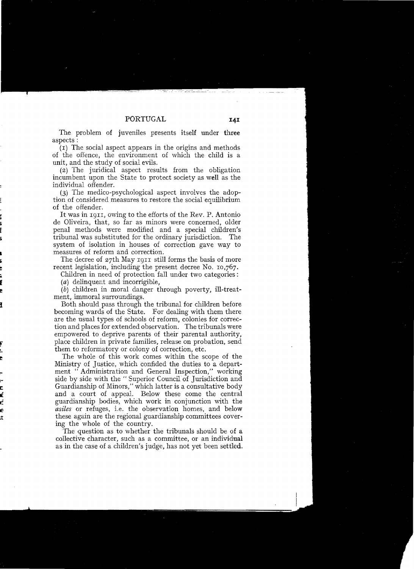The problem of juveniles presents itself under three aspects:

(I) The social aspect appears in the origins and methods of the offence, the environment of which the child is a unit, and the study of social evils.

(2) The juridical aspect results from the obligation incumbent upon the State to protect society as weIl as the individual offender.

(3) The medico-psychological aspect involves the adoption of considered measures to restore the social equilibrium of the offender.

It was in 1911, owing to the efforts of the Rev. P. Antonio de Oliveira, that, so far as minors were concerned, older penal methods were modified and a special children's tribunal was substituted for the ordinary jurisdiction. The system of isolation in houses of correction gave way to measures of reform and correction.

The decree of 27th May 1911 still forms the basis of more recent legislation, including the present decree No. 10,767.

Children in need of protection fall under two categories :

 $(a)$  delinquent and incorrigible.

 $(b)$  children in moral danger through poverty, ill-treatment, immoral surroundings.

Both should pass through the tribunal for children before becoming wards of the State. For dealing with them there are the usual types of schools of reform, colonies for correction and places for extended observation. The tribunals were empowered to deprive parents of their parental authority, place children in private families, release on probation, send them to reformatory or colony of correction, etc.

The whole of this work comes within the scope of the Ministry of Justice, which confided the duties to a department "Administration and General Inspection," working side by side with the "Superior Council of Jurisdiction and Guardianship of Minors," which latter is a consultative body and a court of appeal. Below these come the central guardianship podies, which work in conjunction with the *asiles* or refuges, i.e. the observation homes, and below these again are the regional guardianship committees covering the whole of the country.

The question as to whether the tribunals should be of a collective character, such as a committee, or an individual as in the case of a children's judge, has not yet been settled.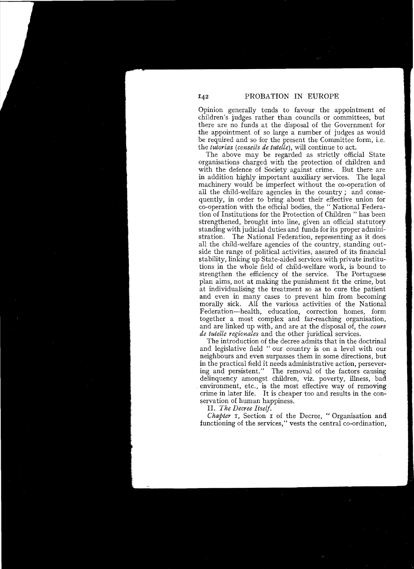Opinion generally tends to favour the appointment of children's judges rather than councils or committees, but there are no funds at the disposal of the Government for the appointment of so large a number of judges as would be required and so for the present the Committee form, i.e. the *tutorias (conseils de tutelle),* will continue to act.

The above may be regarded as strictly official State organisations charged with the protection of children and with the defence of Society against crime. But there are in addition highly important auxiliary services. The legal machinery would be imperfect without the co-operation of all the child-welfare agencies in the country; and consequently, in order to bring about their effective union for co-operation with the official bodies, the " National Federation of Institutions for the Protection of Children " has been strengthened, brought into line, given an official statutory standing with judicial duties and funds for its proper administration. The National Federation, representing as it does all the child-welfare agencies of the country, standing outside the range of political activities, assured of its fmancial stability, linking up State-aided services with private institutions in the whole field of child-welfare work, is bound to strengthen the efficiency of the service. The Portuguese plan aims, not at making the punishment fit the crime, but at individualising the treatment so as to cure the patient and even in many cases to prevent him from becoming morally sick. All the various activities of the National Federation-health, education, correction homes, form together a most complex and far-reaching organisation, and are linked up with, and are at the disposal of, the *cours de tutelle regionales* and the other juridical services.

The introduction of the decree admits that in the doctrinal and legislative field " our country is on a level with our neighbours and even surpasses them in some directions, but in the practical field it needs administrative action, persevering and persistent." The removal of the factors causing delinquency amongst children, viz. poverty, illness, bad . environment, etc., is the most effective way of removing crime in later life. It is cheaper too and results in the conservation of human happiness.

11. *The Decree Itself.* 

*Chapter I*, Section I of the Decree, "Organisation and functioning of the services," vests the central co-ordination,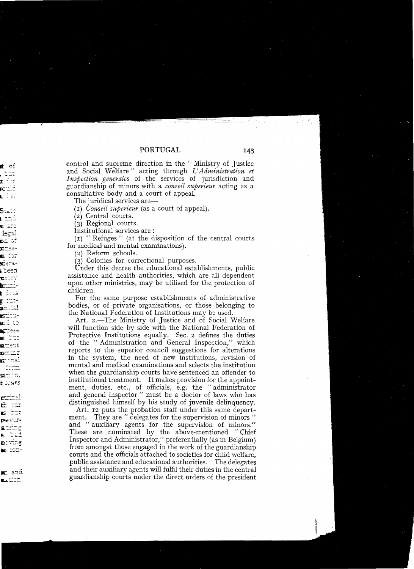143

control and supreme direction in the "Ministry of Justice and Social Welfare" acting through L'Administration et Inspection generales of the services of jurisdiction and guardianship of minors with a *conseil superieur* acting as a consultative body and a court of appeal.

The juridical services are—

 $(I)$  Conseil superieur (as a court of appeal).

(2) Central courts.

 $(3)$  Regional courts.

Institutional services are:

(1) "Refuges" (at the disposition of the central courts for medical and mental examinations).

(2) Reform schools.

(3) Colonies for correctional purposes.

Under this decree the educational establishments, public assistance and health authorities, which are all dependent upon other ministries, may be utilised for the protection of children.

For the same purpose establishments of administrative bodies, or of private organisations, or those belonging to the National Federation of Institutions may be used.

Art. 2.—The Ministry of Justice and of Social Welfare will function side by side with the National Federation of Protective Institutions equally. Sec. 2 defines the duties of the "Administration and General Inspection," which reports to the superior council suggestions for alterations in the system, the need of new institutions, revision of mental and medical examinations and selects the institution when the guardianship courts have sentenced an offender to institutional treatment. It makes provision for the appointment, duties, etc., of officials, e.g. the "administrator and general inspector" must be a doctor of laws who has distinguished himself by his study of juvenile delinquency.

Art. 12 puts the probation staff under this same department. They are "delegates for the supervision of minors" and "auxiliary agents for the supervision of minors." These are nominated by the above-mentioned "Chief Inspector and Administrator," preferentially (as in Belgium) from amongst those engaged in the work of the guardianship courts and the officials attached to societies for child welfare. public assistance and educational authorities. The delegates and their auxiliary agents will fulfil their duties in the central guardianship courts under the direct orders of the president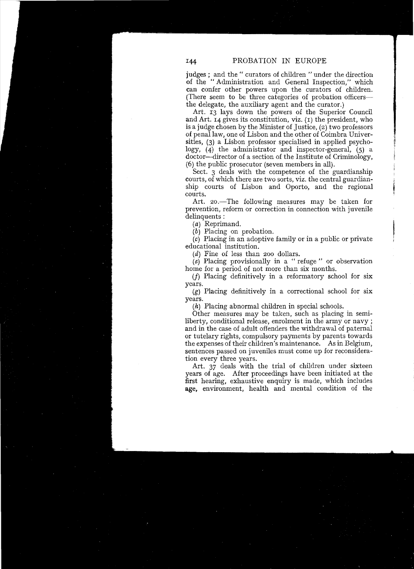judges; and the" curators of children "under the direction of the "Administration and General Inspection," which can confer other powers upon the curators of children. (There seem to be three categories of probation officersthe delegate, the auxiliary agent and the curator.)

Art. I3 lays down the powers of the Superior Council and Art. 14 gives its constitution, viz. (I) the president, who is a judge chosen by the Minister of Justice, (2) two professors of penallaw, one of Lisbon and the other of Coimbra Universities, (3) a Lisbon professor specialised in applied psychology, (4) the administrator and inspector-general, (5) a doctor--director of a section of the Institute of Criminology, (6) the public prosecutor (seven members in all).

Sect. 3 deals with the competence of the guardianship courts, of which there are two sorts, viz. the central guardianship courts of Lisbon and Oporto, and the regional courts.

Art. 20.—The following measures may be taken for prevention, reform or correction in connection with juvenile delinquents:

(a) Reprimand.

 $(b)$  Placing on probation.

(c) Placing in an adoptive family or in a public or private educational institution.

 $(d)$  Fine of less than 200 dollars.

(e) Placing provisionally in a "refuge" or observation home for a period of not more than six months.

(f) Placing definitively in a reformatory school for six years.

 $(g)$  Placing definitively in a correctional school for six years.

 $(h)$  Placing abnormal children in special schools.

Other measures may be taken, such as placing in semiliberty, conditional release, enrolment in the army or navy ; and in the case of adult offenders the withdrawal of paternal or tutelary rights, compulsory payments by parents towards the expenses of their children's maintenance. As in Belgium, sentences passed on juveniles must come up for reconsideration every three years.

Art. 37 deals with the trial of children under sixteen years of age. After proceedings have been initiated at the first hearing, exhaustive enquiry is made, which includes age, environment, health and mental condition of the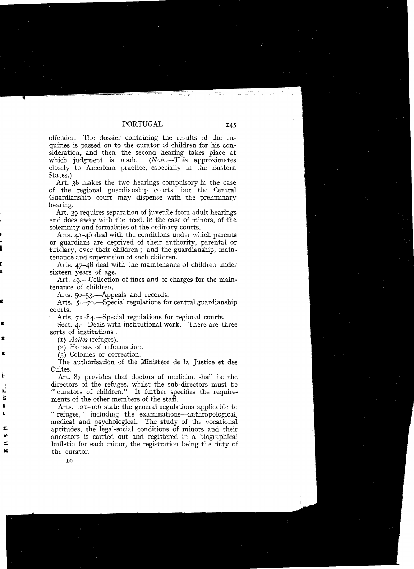offender. The dossier containing the results of the enquiries is passed on to the curator of children for his consideration, and then the second hearing takes place at which judgment is made.  $(Note. - This approximates)$ which judgment is made. closely to American practice, especially in the Eastern States.)

Art. 38 makes the two hearings compulsory in the case of the regional guardianship courts, but the Central Guardianship court may dispense with the preliminary hearing.

Art. 39 requires separation of juvenile from adult hearings and does away with the need, in the case of minors, of the solemnity and formalities of the ordinary courts.

Arts.  $40-46$  deal with the conditions under which parents or guardians are deprived of their authority, parental or tutelary, over their children; and the guardianship, maintenance and supervision of such children.

Arts. 47-48 deal with the maintenance of children under sixteen years of age.

Art. 49.—Collection of fines and of charges for the maintenance of children.

Arts. 50-53.—Appeals and records.

Arts. 54-70.—Special regulations for central guardianship courts.

Arts. 71-84.—Special regulations for regional courts.

Sect.  $4.$ -Deals with institutional work. There are three sorts of institutions :

*(I) Asiles* (refuges).

(2) Houses of reformation.

(3) Colonies of correction.

The authorisation of the Ministère de la Justice et des Cultes.

Art. 87 provides that doctors of medicine shall be the directors of the refuges, whilst the sub-directors must be "curators of children." It further specifies the requirements of the other members of the staff.

Arts. 101-106 state the general regulations applicabie to "refuges," including the examinations-anthropological, medical and psychological. The study of the vocational aptitudes, the legal-social conditions of minors and their ancestors is carried out and registered in a biographical bulletin for each minor, the registration being the duty of the curator.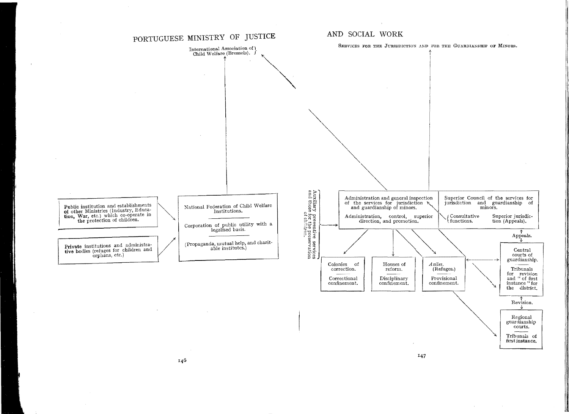

 $\mathbf{r}$